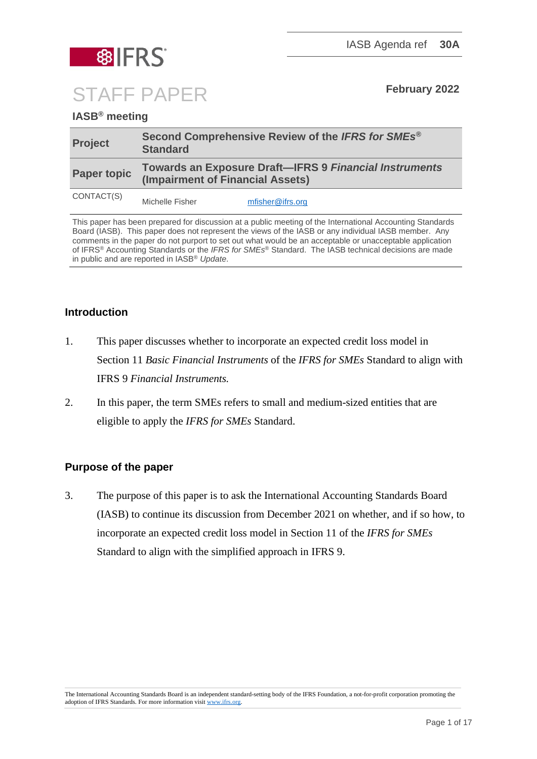

STAFF PAPER **February <sup>2022</sup>**

# **IASB® meeting**

| <b>Project</b>     | Second Comprehensive Review of the IFRS for SMEs <sup>®</sup><br><b>Standard</b>                  |
|--------------------|---------------------------------------------------------------------------------------------------|
| <b>Paper topic</b> | <b>Towards an Exposure Draft-IFRS 9 Financial Instruments</b><br>(Impairment of Financial Assets) |
| CONTACT(S)         | mfisher@ifrs.org<br>Michelle Fisher                                                               |

This paper has been prepared for discussion at a public meeting of the International Accounting Standards Board (IASB). This paper does not represent the views of the IASB or any individual IASB member. Any comments in the paper do not purport to set out what would be an acceptable or unacceptable application of IFRS® Accounting Standards or the *IFRS for SMEs*® Standard. The IASB technical decisions are made in public and are reported in IASB® *Update*.

#### **Introduction**

- 1. This paper discusses whether to incorporate an expected credit loss model in Section 11 *Basic Financial Instruments* of the *IFRS for SMEs* Standard to align with IFRS 9 *Financial Instruments.*
- 2. In this paper, the term SMEs refers to small and medium-sized entities that are eligible to apply the *IFRS for SMEs* Standard.

# **Purpose of the paper**

3. The purpose of this paper is to ask the International Accounting Standards Board (IASB) to continue its discussion from December 2021 on whether, and if so how, to incorporate an expected credit loss model in Section 11 of the *IFRS for SMEs* Standard to align with the simplified approach in IFRS 9.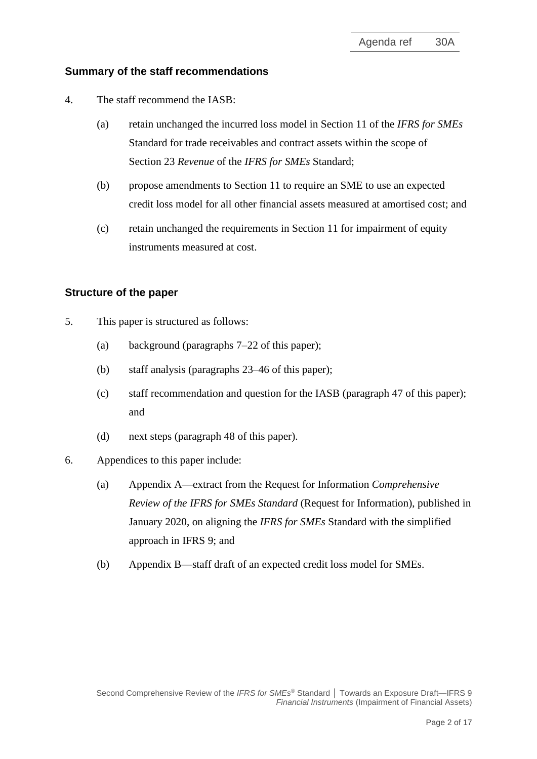#### **Summary of the staff recommendations**

- 4. The staff recommend the IASB:
	- (a) retain unchanged the incurred loss model in Section 11 of the *IFRS for SMEs* Standard for trade receivables and contract assets within the scope of Section 23 *Revenue* of the *IFRS for SMEs* Standard;
	- (b) propose amendments to Section 11 to require an SME to use an expected credit loss model for all other financial assets measured at amortised cost; and
	- (c) retain unchanged the requirements in Section 11 for impairment of equity instruments measured at cost.

#### **Structure of the paper**

- 5. This paper is structured as follows:
	- (a) background (paragraphs [7](#page-2-0)[–22](#page-5-0) of this paper);
	- (b) staff analysis (paragraphs [23–](#page-5-1)46 of this paper);
	- (c) staff recommendation and question for the IASB (paragraph [47](#page-12-0) of this paper); and
	- (d) next steps (paragraph [48](#page-13-0) of this paper).
- 6. Appendices to this paper include:
	- (a) Appendix A—extract from the Request for Information *Comprehensive Review of the IFRS for SMEs Standard* (Request for Information), published in January 2020, on aligning the *IFRS for SMEs* Standard with the simplified approach in IFRS 9; and
	- (b) Appendix B—staff draft of an expected credit loss model for SMEs.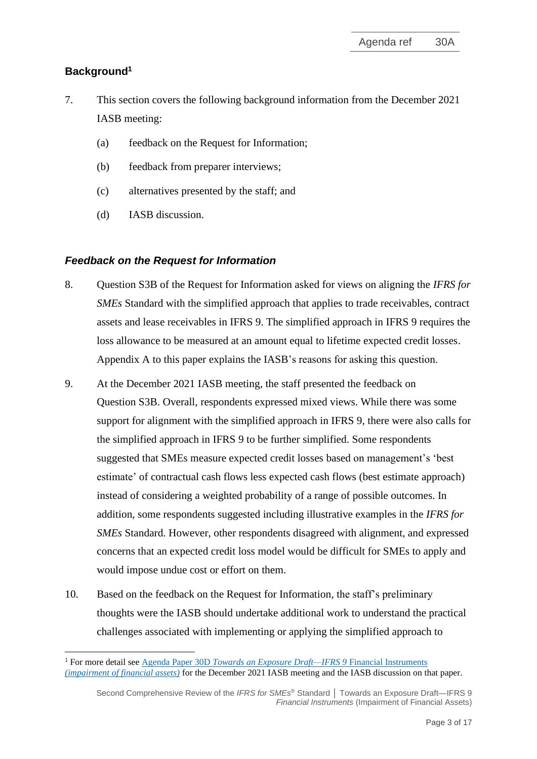# **Background<sup>1</sup>**

- <span id="page-2-0"></span>7. This section covers the following background information from the December 2021 IASB meeting:
	- (a) feedback on the Request for Information;
	- (b) feedback from preparer interviews;
	- (c) alternatives presented by the staff; and
	- (d) IASB discussion.

#### *Feedback on the Request for Information*

- 8. Question S3B of the Request for Information asked for views on aligning the *IFRS for SMEs* Standard with the simplified approach that applies to trade receivables, contract assets and lease receivables in IFRS 9. The simplified approach in IFRS 9 requires the loss allowance to be measured at an amount equal to lifetime expected credit losses. Appendix A to this paper explains the IASB's reasons for asking this question.
- 9. At the December 2021 IASB meeting, the staff presented the feedback on Question S3B. Overall, respondents expressed mixed views. While there was some support for alignment with the simplified approach in IFRS 9, there were also calls for the simplified approach in IFRS 9 to be further simplified. Some respondents suggested that SMEs measure expected credit losses based on management's 'best estimate' of contractual cash flows less expected cash flows (best estimate approach) instead of considering a weighted probability of a range of possible outcomes. In addition, some respondents suggested including illustrative examples in the *IFRS for SMEs* Standard. However, other respondents disagreed with alignment, and expressed concerns that an expected credit loss model would be difficult for SMEs to apply and would impose undue cost or effort on them.
- 10. Based on the feedback on the Request for Information, the staff's preliminary thoughts were the IASB should undertake additional work to understand the practical challenges associated with implementing or applying the simplified approach to

<sup>1</sup> For more detail see Agenda Paper 30D *[Towards an Exposure Draft—IFRS 9](https://www.ifrs.org/content/dam/ifrs/meetings/2021/december/iasb/ap30d-ifrs-9-impairment-of-financial-assets.pdf)* Financial Instruments *[\(impairment of financial assets\)](https://www.ifrs.org/content/dam/ifrs/meetings/2021/december/iasb/ap30d-ifrs-9-impairment-of-financial-assets.pdf)* for the December 2021 IASB meeting and the IASB discussion on that paper.

Second Comprehensive Review of the *IFRS for SMEs* ® Standard **│** Towards an Exposure Draft—IFRS 9 *Financial Instruments* (Impairment of Financial Assets)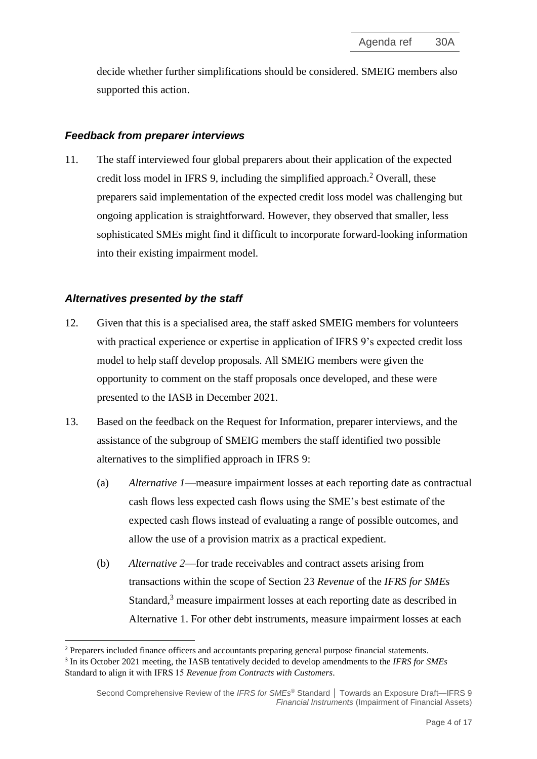decide whether further simplifications should be considered. SMEIG members also supported this action.

#### *Feedback from preparer interviews*

11. The staff interviewed four global preparers about their application of the expected credit loss model in IFRS 9, including the simplified approach. <sup>2</sup> Overall, these preparers said implementation of the expected credit loss model was challenging but ongoing application is straightforward. However, they observed that smaller, less sophisticated SMEs might find it difficult to incorporate forward-looking information into their existing impairment model.

#### *Alternatives presented by the staff*

- 12. Given that this is a specialised area, the staff asked SMEIG members for volunteers with practical experience or expertise in application of IFRS 9's expected credit loss model to help staff develop proposals. All SMEIG members were given the opportunity to comment on the staff proposals once developed, and these were presented to the IASB in December 2021.
- <span id="page-3-0"></span>13. Based on the feedback on the Request for Information, preparer interviews, and the assistance of the subgroup of SMEIG members the staff identified two possible alternatives to the simplified approach in IFRS 9:
	- (a) *Alternative 1*—measure impairment losses at each reporting date as contractual cash flows less expected cash flows using the SME's best estimate of the expected cash flows instead of evaluating a range of possible outcomes, and allow the use of a provision matrix as a practical expedient.
	- (b) *Alternative 2*—for trade receivables and contract assets arising from transactions within the scope of Section 23 *Revenue* of the *IFRS for SMEs*  Standard,<sup>3</sup> measure impairment losses at each reporting date as described in Alternative 1. For other debt instruments, measure impairment losses at each

<sup>2</sup> Preparers included finance officers and accountants preparing general purpose financial statements. 3 In its October 2021 meeting, the IASB tentatively decided to develop amendments to the *IFRS for SMEs* Standard to align it with IFRS 15 *Revenue from Contracts with Customers*.

Second Comprehensive Review of the *IFRS for SMEs* ® Standard **│** Towards an Exposure Draft—IFRS 9 *Financial Instruments* (Impairment of Financial Assets)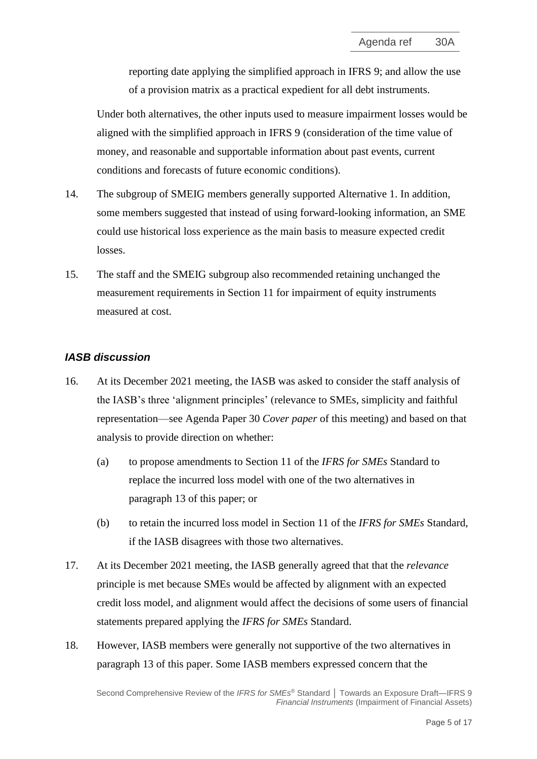reporting date applying the simplified approach in IFRS 9; and allow the use of a provision matrix as a practical expedient for all debt instruments.

Under both alternatives, the other inputs used to measure impairment losses would be aligned with the simplified approach in IFRS 9 (consideration of the time value of money, and reasonable and supportable information about past events, current conditions and forecasts of future economic conditions).

- 14. The subgroup of SMEIG members generally supported Alternative 1. In addition, some members suggested that instead of using forward-looking information, an SME could use historical loss experience as the main basis to measure expected credit losses.
- 15. The staff and the SMEIG subgroup also recommended retaining unchanged the measurement requirements in Section 11 for impairment of equity instruments measured at cost.

# *IASB discussion*

- 16. At its December 2021 meeting, the IASB was asked to consider the staff analysis of the IASB's three 'alignment principles' (relevance to SMEs, simplicity and faithful representation—see Agenda Paper 30 *Cover paper* of this meeting) and based on that analysis to provide direction on whether:
	- (a) to propose amendments to Section 11 of the *IFRS for SMEs* Standard to replace the incurred loss model with one of the two alternatives in paragraph [13](#page-3-0) of this paper; or
	- (b) to retain the incurred loss model in Section 11 of the *IFRS for SMEs* Standard, if the IASB disagrees with those two alternatives.
- <span id="page-4-0"></span>17. At its December 2021 meeting, the IASB generally agreed that that the *relevance*  principle is met because SMEs would be affected by alignment with an expected credit loss model, and alignment would affect the decisions of some users of financial statements prepared applying the *IFRS for SMEs* Standard.
- 18. However, IASB members were generally not supportive of the two alternatives in paragraph [13](#page-3-0) of this paper. Some IASB members expressed concern that the

Second Comprehensive Review of the *IFRS for SMEs* ® Standard **│** Towards an Exposure Draft—IFRS 9 *Financial Instruments* (Impairment of Financial Assets)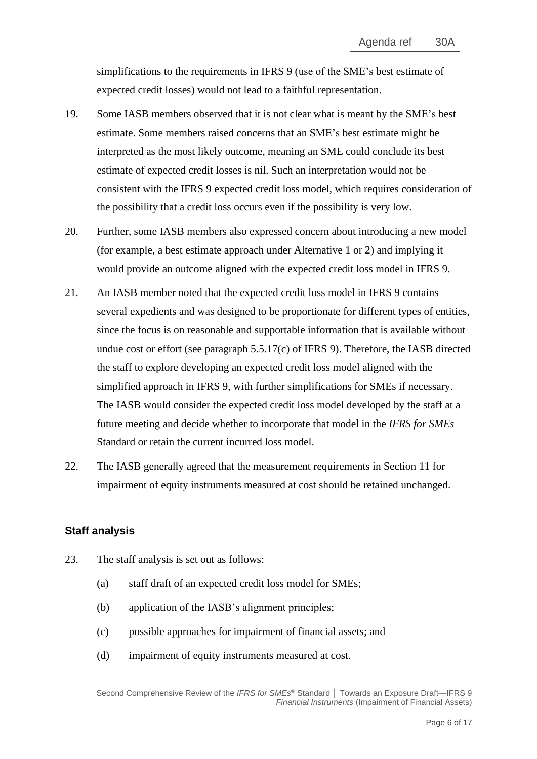simplifications to the requirements in IFRS 9 (use of the SME's best estimate of expected credit losses) would not lead to a faithful representation.

- 19. Some IASB members observed that it is not clear what is meant by the SME's best estimate. Some members raised concerns that an SME's best estimate might be interpreted as the most likely outcome, meaning an SME could conclude its best estimate of expected credit losses is nil. Such an interpretation would not be consistent with the IFRS 9 expected credit loss model, which requires consideration of the possibility that a credit loss occurs even if the possibility is very low.
- 20. Further, some IASB members also expressed concern about introducing a new model (for example, a best estimate approach under Alternative 1 or 2) and implying it would provide an outcome aligned with the expected credit loss model in IFRS 9.
- <span id="page-5-2"></span>21. An IASB member noted that the expected credit loss model in IFRS 9 contains several expedients and was designed to be proportionate for different types of entities, since the focus is on reasonable and supportable information that is available without undue cost or effort (see paragraph 5.5.17(c) of IFRS 9). Therefore, the IASB directed the staff to explore developing an expected credit loss model aligned with the simplified approach in IFRS 9, with further simplifications for SMEs if necessary. The IASB would consider the expected credit loss model developed by the staff at a future meeting and decide whether to incorporate that model in the *IFRS for SMEs* Standard or retain the current incurred loss model.
- <span id="page-5-0"></span>22. The IASB generally agreed that the measurement requirements in Section 11 for impairment of equity instruments measured at cost should be retained unchanged.

# **Staff analysis**

- <span id="page-5-1"></span>23. The staff analysis is set out as follows:
	- (a) staff draft of an expected credit loss model for SMEs;
	- (b) application of the IASB's alignment principles;
	- (c) possible approaches for impairment of financial assets; and
	- (d) impairment of equity instruments measured at cost.

Second Comprehensive Review of the *IFRS for SMEs* ® Standard **│** Towards an Exposure Draft—IFRS 9 *Financial Instruments* (Impairment of Financial Assets)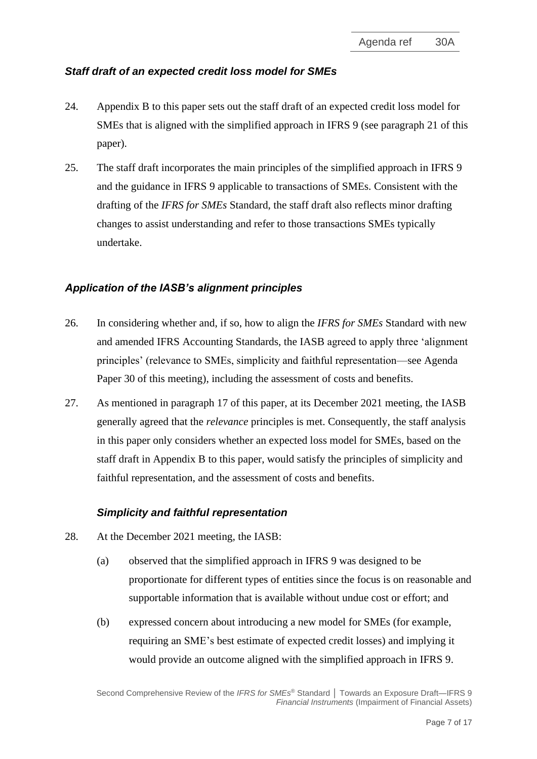# *Staff draft of an expected credit loss model for SMEs*

- 24. Appendix B to this paper sets out the staff draft of an expected credit loss model for SMEs that is aligned with the simplified approach in IFRS 9 (see paragraph [21](#page-5-2) of this paper).
- <span id="page-6-1"></span>25. The staff draft incorporates the main principles of the simplified approach in IFRS 9 and the guidance in IFRS 9 applicable to transactions of SMEs. Consistent with the drafting of the *IFRS for SMEs* Standard, the staff draft also reflects minor drafting changes to assist understanding and refer to those transactions SMEs typically undertake.

#### *Application of the IASB's alignment principles*

- 26. In considering whether and, if so, how to align the *IFRS for SMEs* Standard with new and amended IFRS Accounting Standards, the IASB agreed to apply three 'alignment principles' (relevance to SMEs, simplicity and faithful representation—see Agenda Paper 30 of this meeting), including the assessment of costs and benefits.
- 27. As mentioned in paragraph [17](#page-4-0) of this paper, at its December 2021 meeting, the IASB generally agreed that the *relevance* principles is met. Consequently, the staff analysis in this paper only considers whether an expected loss model for SMEs, based on the staff draft in Appendix B to this paper, would satisfy the principles of simplicity and faithful representation, and the assessment of costs and benefits.

#### *Simplicity and faithful representation*

- <span id="page-6-0"></span>28. At the December 2021 meeting, the IASB:
	- (a) observed that the simplified approach in IFRS 9 was designed to be proportionate for different types of entities since the focus is on reasonable and supportable information that is available without undue cost or effort; and
	- (b) expressed concern about introducing a new model for SMEs (for example, requiring an SME's best estimate of expected credit losses) and implying it would provide an outcome aligned with the simplified approach in IFRS 9.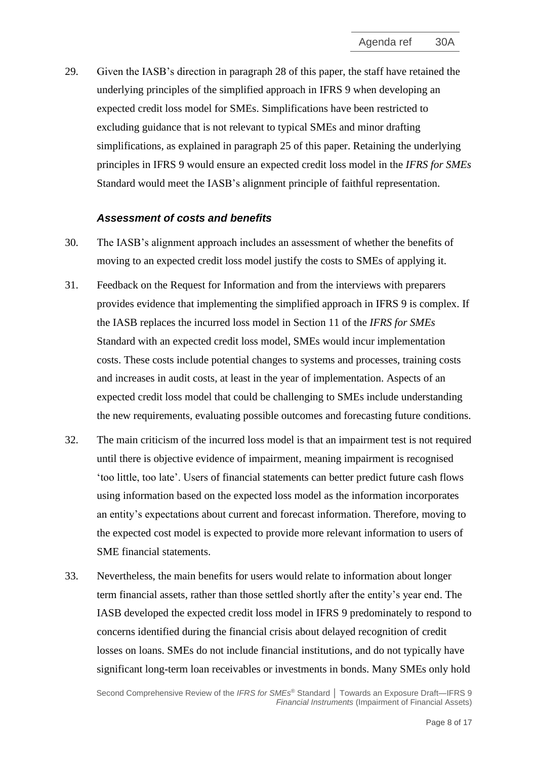29. Given the IASB's direction in paragraph [28](#page-6-0) of this paper, the staff have retained the underlying principles of the simplified approach in IFRS 9 when developing an expected credit loss model for SMEs. Simplifications have been restricted to excluding guidance that is not relevant to typical SMEs and minor drafting simplifications, as explained in paragraph [25](#page-6-1) of this paper. Retaining the underlying principles in IFRS 9 would ensure an expected credit loss model in the *IFRS for SMEs* Standard would meet the IASB's alignment principle of faithful representation.

#### *Assessment of costs and benefits*

- <span id="page-7-1"></span>30. The IASB's alignment approach includes an assessment of whether the benefits of moving to an expected credit loss model justify the costs to SMEs of applying it.
- <span id="page-7-0"></span>31. Feedback on the Request for Information and from the interviews with preparers provides evidence that implementing the simplified approach in IFRS 9 is complex. If the IASB replaces the incurred loss model in Section 11 of the *IFRS for SMEs*  Standard with an expected credit loss model, SMEs would incur implementation costs. These costs include potential changes to systems and processes, training costs and increases in audit costs, at least in the year of implementation. Aspects of an expected credit loss model that could be challenging to SMEs include understanding the new requirements, evaluating possible outcomes and forecasting future conditions.
- 32. The main criticism of the incurred loss model is that an impairment test is not required until there is objective evidence of impairment, meaning impairment is recognised 'too little, too late'. Users of financial statements can better predict future cash flows using information based on the expected loss model as the information incorporates an entity's expectations about current and forecast information. Therefore, moving to the expected cost model is expected to provide more relevant information to users of SME financial statements.
- 33. Nevertheless, the main benefits for users would relate to information about longer term financial assets, rather than those settled shortly after the entity's year end. The IASB developed the expected credit loss model in IFRS 9 predominately to respond to concerns identified during the financial crisis about delayed recognition of credit losses on loans. SMEs do not include financial institutions, and do not typically have significant long-term loan receivables or investments in bonds. Many SMEs only hold

Second Comprehensive Review of the *IFRS for SMEs* ® Standard **│** Towards an Exposure Draft—IFRS 9 *Financial Instruments* (Impairment of Financial Assets)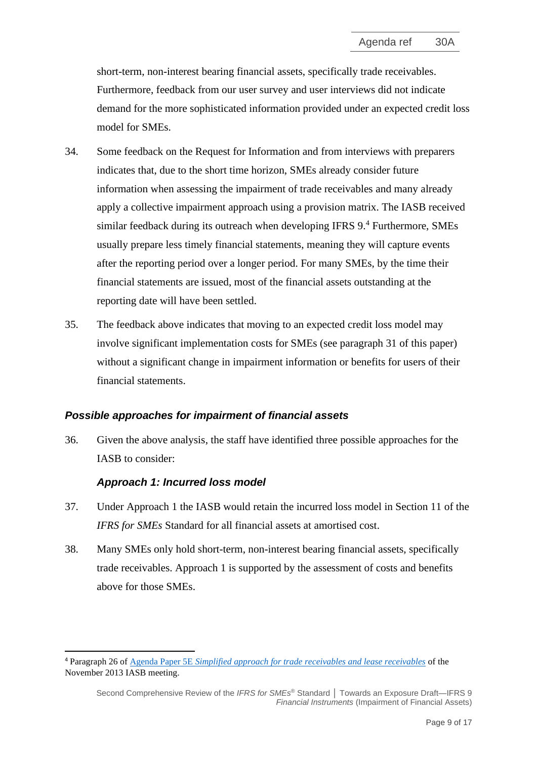short-term, non-interest bearing financial assets, specifically trade receivables. Furthermore, feedback from our user survey and user interviews did not indicate demand for the more sophisticated information provided under an expected credit loss model for SMEs.

- <span id="page-8-1"></span>34. Some feedback on the Request for Information and from interviews with preparers indicates that, due to the short time horizon, SMEs already consider future information when assessing the impairment of trade receivables and many already apply a collective impairment approach using a provision matrix. The IASB received similar feedback during its outreach when developing IFRS 9.<sup>4</sup> Furthermore, SMEs usually prepare less timely financial statements, meaning they will capture events after the reporting period over a longer period. For many SMEs, by the time their financial statements are issued, most of the financial assets outstanding at the reporting date will have been settled.
- <span id="page-8-0"></span>35. The feedback above indicates that moving to an expected credit loss model may involve significant implementation costs for SMEs (see paragraph [31](#page-7-0) of this paper) without a significant change in impairment information or benefits for users of their financial statements.

# *Possible approaches for impairment of financial assets*

36. Given the above analysis, the staff have identified three possible approaches for the IASB to consider:

# *Approach 1: Incurred loss model*

- 37. Under Approach 1 the IASB would retain the incurred loss model in Section 11 of the *IFRS for SMEs* Standard for all financial assets at amortised cost.
- 38. Many SMEs only hold short-term, non-interest bearing financial assets, specifically trade receivables. Approach 1 is supported by the assessment of costs and benefits above for those SMEs.

<sup>4</sup> Paragraph 26 of Agenda Paper 5E *[Simplified approach for trade receivables and lease receivables](https://www.ifrs.org/content/dam/ifrs/meetings/2013/november/iasb/fi-impairment/ap5e-simplified-approach-trade-lease-receivables.pdf)* of the November 2013 IASB meeting.

Second Comprehensive Review of the *IFRS for SMEs* ® Standard **│** Towards an Exposure Draft—IFRS 9 *Financial Instruments* (Impairment of Financial Assets)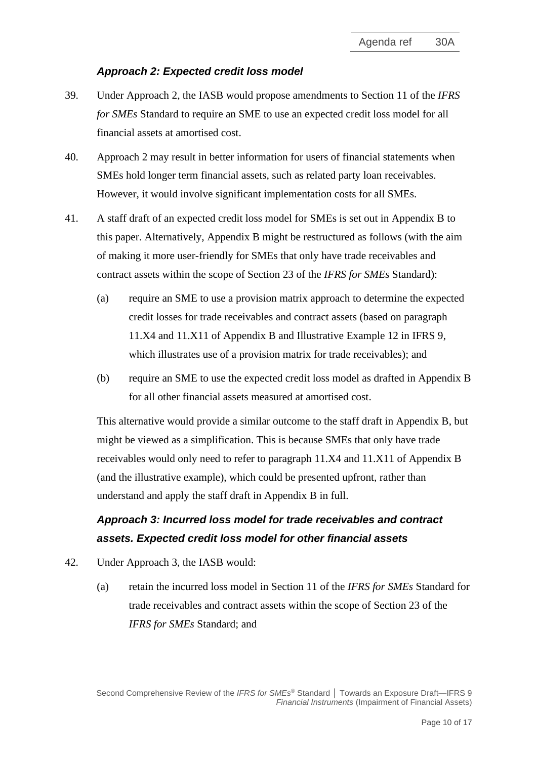## *Approach 2: Expected credit loss model*

- 39. Under Approach 2, the IASB would propose amendments to Section 11 of the *IFRS for SMEs* Standard to require an SME to use an expected credit loss model for all financial assets at amortised cost.
- 40. Approach 2 may result in better information for users of financial statements when SMEs hold longer term financial assets, such as related party loan receivables. However, it would involve significant implementation costs for all SMEs.
- 41. A staff draft of an expected credit loss model for SMEs is set out in Appendix B to this paper. Alternatively, Appendix B might be restructured as follows (with the aim of making it more user-friendly for SMEs that only have trade receivables and contract assets within the scope of Section 23 of the *IFRS for SMEs* Standard):
	- (a) require an SME to use a provision matrix approach to determine the expected credit losses for trade receivables and contract assets (based on paragraph 11.X4 and 11.X11 of Appendix B and Illustrative Example 12 in IFRS 9, which illustrates use of a provision matrix for trade receivables); and
	- (b) require an SME to use the expected credit loss model as drafted in Appendix B for all other financial assets measured at amortised cost.

This alternative would provide a similar outcome to the staff draft in Appendix B, but might be viewed as a simplification. This is because SMEs that only have trade receivables would only need to refer to paragraph 11.X4 and 11.X11 of Appendix B (and the illustrative example), which could be presented upfront, rather than understand and apply the staff draft in Appendix B in full.

# *Approach 3: Incurred loss model for trade receivables and contract assets. Expected credit loss model for other financial assets*

- 42. Under Approach 3, the IASB would:
	- (a) retain the incurred loss model in Section 11 of the *IFRS for SMEs* Standard for trade receivables and contract assets within the scope of Section 23 of the *IFRS for SMEs* Standard; and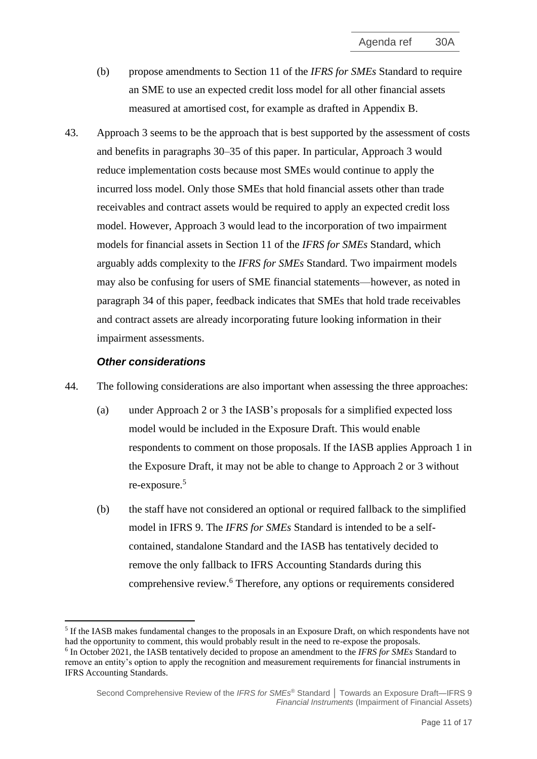- (b) propose amendments to Section 11 of the *IFRS for SMEs* Standard to require an SME to use an expected credit loss model for all other financial assets measured at amortised cost, for example as drafted in Appendix B.
- 43. Approach 3 seems to be the approach that is best supported by the assessment of costs and benefits in paragraphs [30](#page-7-1)[–35](#page-8-0) of this paper. In particular, Approach 3 would reduce implementation costs because most SMEs would continue to apply the incurred loss model. Only those SMEs that hold financial assets other than trade receivables and contract assets would be required to apply an expected credit loss model. However, Approach 3 would lead to the incorporation of two impairment models for financial assets in Section 11 of the *IFRS for SMEs* Standard, which arguably adds complexity to the *IFRS for SMEs* Standard. Two impairment models may also be confusing for users of SME financial statements—however, as noted in paragraph [34](#page-8-1) of this paper, feedback indicates that SMEs that hold trade receivables and contract assets are already incorporating future looking information in their impairment assessments.

#### *Other considerations*

- 44. The following considerations are also important when assessing the three approaches:
	- (a) under Approach 2 or 3 the IASB's proposals for a simplified expected loss model would be included in the Exposure Draft. This would enable respondents to comment on those proposals. If the IASB applies Approach 1 in the Exposure Draft, it may not be able to change to Approach 2 or 3 without re-exposure.<sup>5</sup>
	- (b) the staff have not considered an optional or required fallback to the simplified model in IFRS 9. The *IFRS for SMEs* Standard is intended to be a selfcontained, standalone Standard and the IASB has tentatively decided to remove the only fallback to IFRS Accounting Standards during this comprehensive review. <sup>6</sup> Therefore, any options or requirements considered

<sup>&</sup>lt;sup>5</sup> If the IASB makes fundamental changes to the proposals in an Exposure Draft, on which respondents have not had the opportunity to comment, this would probably result in the need to re-expose the proposals.

<sup>6</sup> In October 2021, the IASB tentatively decided to propose an amendment to the *IFRS for SMEs* Standard to remove an entity's option to apply the recognition and measurement requirements for financial instruments in IFRS Accounting Standards.

Second Comprehensive Review of the *IFRS for SMEs* ® Standard **│** Towards an Exposure Draft—IFRS 9 *Financial Instruments* (Impairment of Financial Assets)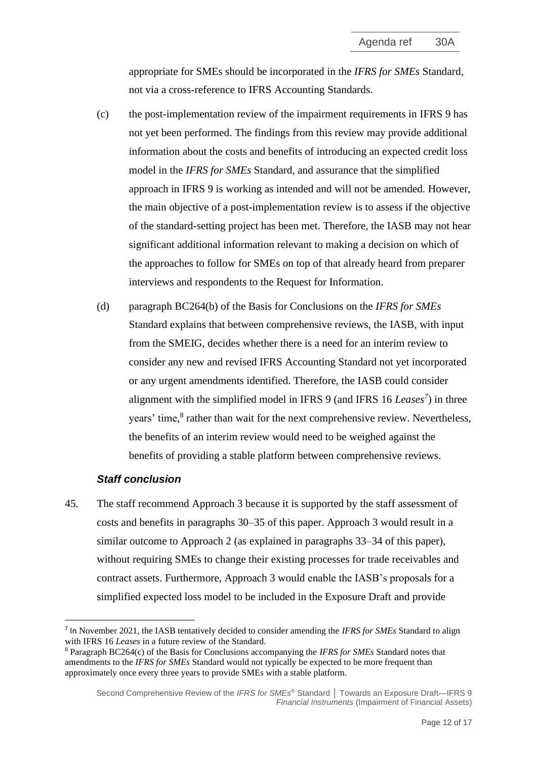appropriate for SMEs should be incorporated in the *IFRS for SMEs* Standard, not via a cross-reference to IFRS Accounting Standards.

- (c) the post-implementation review of the impairment requirements in IFRS 9 has not yet been performed. The findings from this review may provide additional information about the costs and benefits of introducing an expected credit loss model in the *IFRS for SMEs* Standard, and assurance that the simplified approach in IFRS 9 is working as intended and will not be amended. However, the main objective of a post-implementation review is to assess if the objective of the standard-setting project has been met. Therefore, the IASB may not hear significant additional information relevant to making a decision on which of the approaches to follow for SMEs on top of that already heard from preparer interviews and respondents to the Request for Information.
- (d) paragraph BC264(b) of the Basis for Conclusions on the *IFRS for SMEs*  Standard explains that between comprehensive reviews, the IASB, with input from the SMEIG, decides whether there is a need for an interim review to consider any new and revised IFRS Accounting Standard not yet incorporated or any urgent amendments identified. Therefore, the IASB could consider alignment with the simplified model in IFRS 9 (and IFRS 16 *Leases<sup>7</sup>* ) in three years' time,<sup>8</sup> rather than wait for the next comprehensive review. Nevertheless, the benefits of an interim review would need to be weighed against the benefits of providing a stable platform between comprehensive reviews.

#### *Staff conclusion*

45. The staff recommend Approach 3 because it is supported by the staff assessment of costs and benefits in paragraphs [30](#page-7-1)[–35](#page-8-0) of this paper. Approach 3 would result in a similar outcome to Approach 2 (as explained in paragraphs 33–34 of this paper), without requiring SMEs to change their existing processes for trade receivables and contract assets. Furthermore, Approach 3 would enable the IASB's proposals for a simplified expected loss model to be included in the Exposure Draft and provide

<sup>7</sup> In November 2021, the IASB tentatively decided to consider amending the *IFRS for SMEs* Standard to align with IFRS 16 *Leases* in a future review of the Standard.

<sup>8</sup> Paragraph BC264(c) of the Basis for Conclusions accompanying the *IFRS for SMEs* Standard notes that amendments to the *IFRS for SMEs* Standard would not typically be expected to be more frequent than approximately once every three years to provide SMEs with a stable platform.

Second Comprehensive Review of the *IFRS for SMEs* ® Standard **│** Towards an Exposure Draft—IFRS 9 *Financial Instruments* (Impairment of Financial Assets)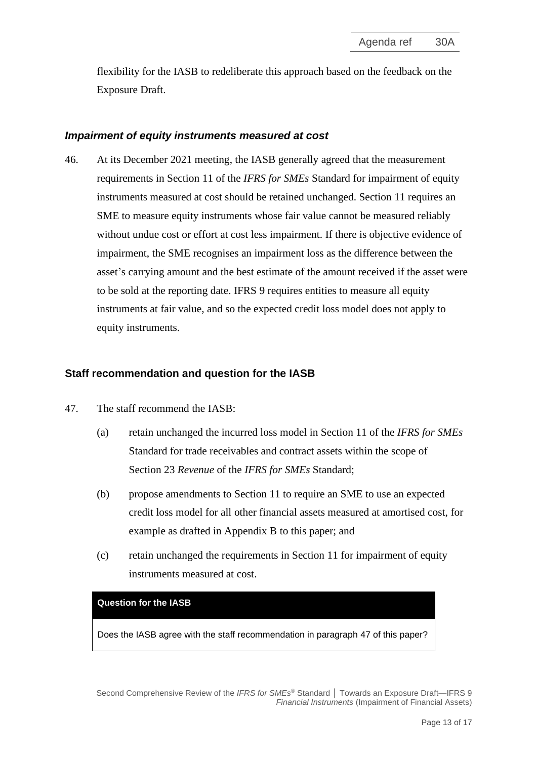flexibility for the IASB to redeliberate this approach based on the feedback on the Exposure Draft.

#### *Impairment of equity instruments measured at cost*

46. At its December 2021 meeting, the IASB generally agreed that the measurement requirements in Section 11 of the *IFRS for SMEs* Standard for impairment of equity instruments measured at cost should be retained unchanged. Section 11 requires an SME to measure equity instruments whose fair value cannot be measured reliably without undue cost or effort at cost less impairment. If there is objective evidence of impairment, the SME recognises an impairment loss as the difference between the asset's carrying amount and the best estimate of the amount received if the asset were to be sold at the reporting date. IFRS 9 requires entities to measure all equity instruments at fair value, and so the expected credit loss model does not apply to equity instruments.

#### **Staff recommendation and question for the IASB**

- <span id="page-12-0"></span>47. The staff recommend the IASB:
	- (a) retain unchanged the incurred loss model in Section 11 of the *IFRS for SMEs* Standard for trade receivables and contract assets within the scope of Section 23 *Revenue* of the *IFRS for SMEs* Standard;
	- (b) propose amendments to Section 11 to require an SME to use an expected credit loss model for all other financial assets measured at amortised cost, for example as drafted in Appendix B to this paper; and
	- (c) retain unchanged the requirements in Section 11 for impairment of equity instruments measured at cost.

#### **Question for the IASB**

Does the IASB agree with the staff recommendation in paragraph [47](#page-12-0) of this paper?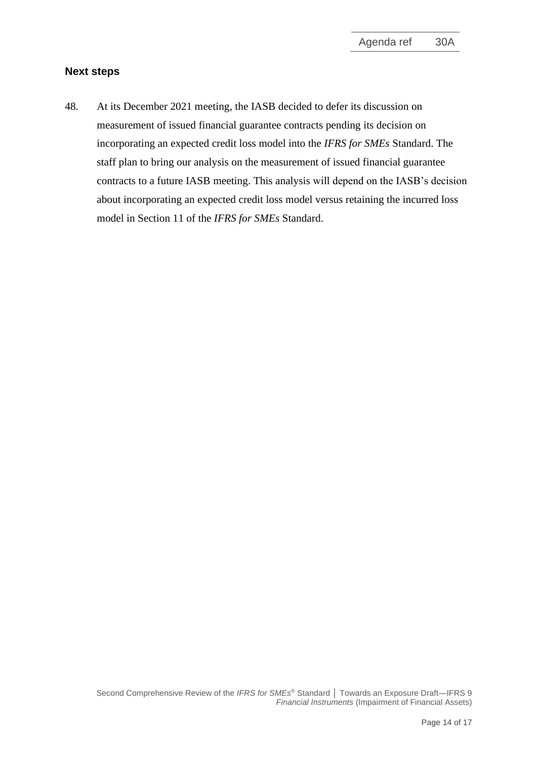#### **Next steps**

<span id="page-13-0"></span>48. At its December 2021 meeting, the IASB decided to defer its discussion on measurement of issued financial guarantee contracts pending its decision on incorporating an expected credit loss model into the *IFRS for SMEs* Standard. The staff plan to bring our analysis on the measurement of issued financial guarantee contracts to a future IASB meeting. This analysis will depend on the IASB's decision about incorporating an expected credit loss model versus retaining the incurred loss model in Section 11 of the *IFRS for SMEs* Standard.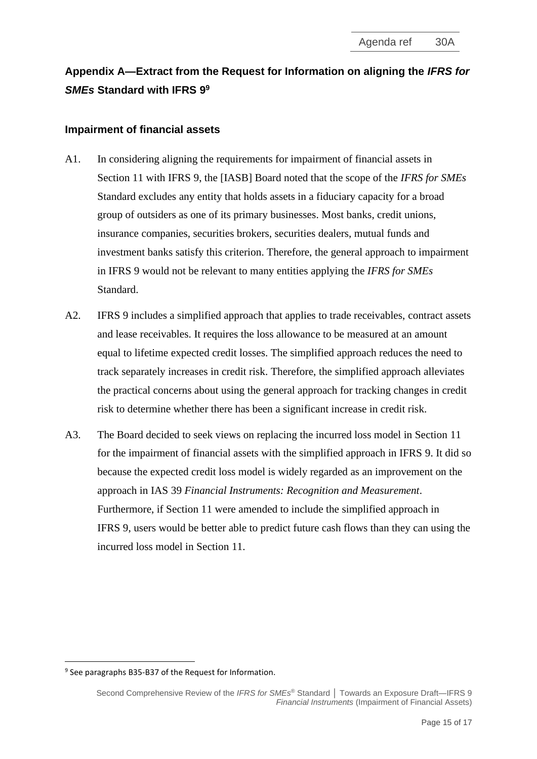# **Appendix A—Extract from the Request for Information on aligning the** *IFRS for SMEs* **Standard with IFRS 9 9**

## **Impairment of financial assets**

- A1. In considering aligning the requirements for impairment of financial assets in Section 11 with IFRS 9, the [IASB] Board noted that the scope of the *IFRS for SMEs* Standard excludes any entity that holds assets in a fiduciary capacity for a broad group of outsiders as one of its primary businesses. Most banks, credit unions, insurance companies, securities brokers, securities dealers, mutual funds and investment banks satisfy this criterion. Therefore, the general approach to impairment in IFRS 9 would not be relevant to many entities applying the *IFRS for SMEs* Standard.
- A2. IFRS 9 includes a simplified approach that applies to trade receivables, contract assets and lease receivables. It requires the loss allowance to be measured at an amount equal to lifetime expected credit losses. The simplified approach reduces the need to track separately increases in credit risk. Therefore, the simplified approach alleviates the practical concerns about using the general approach for tracking changes in credit risk to determine whether there has been a significant increase in credit risk.
- A3. The Board decided to seek views on replacing the incurred loss model in Section 11 for the impairment of financial assets with the simplified approach in IFRS 9. It did so because the expected credit loss model is widely regarded as an improvement on the approach in IAS 39 *Financial Instruments: Recognition and Measurement*. Furthermore, if Section 11 were amended to include the simplified approach in IFRS 9, users would be better able to predict future cash flows than they can using the incurred loss model in Section 11.

<sup>&</sup>lt;sup>9</sup> See paragraphs B35-B37 of the Request for Information.

Second Comprehensive Review of the *IFRS for SMEs* ® Standard **│** Towards an Exposure Draft—IFRS 9 *Financial Instruments* (Impairment of Financial Assets)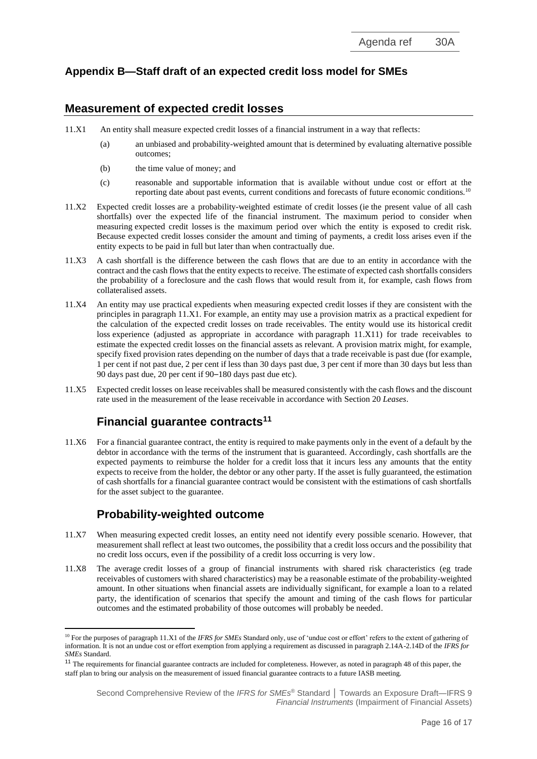# **Appendix B—Staff draft of an expected credit loss model for SMEs**

#### **Measurement of expected credit losses**

- 11.X1 An entity shall measure [expected credit losses](https://eifrs.ifrs.org/eifrs/ViewContent?collection=2021_Issued_Standards&fn=IFRS09_APPA.html&scrollTo=IFRS09_APPA__IFRS09_P0701) of a financial instrument in a way that reflects:
	- (a) an unbiased and probability-weighted amount that is determined by evaluating alternative possible outcomes;
	- (b) the time value of money; and
	- (c) reasonable and supportable information that is available without undue cost or effort at the reporting date about past events, current conditions and forecasts of future economic conditions.<sup>10</sup>
- 11.X2 [Expected credit losses](https://eifrs.ifrs.org/eifrs/ViewContent?collection=2021_Issued_Standards&fn=IFRS09_APPA.html&scrollTo=IFRS09_APPA__IFRS09_P0701) are a probability-weighted estimate of [credit losses](https://eifrs.ifrs.org/eifrs/ViewContent?collection=2021_Issued_Standards&fn=IFRS09_APPA.html&scrollTo=IFRS09_APPA__IFRS09_P0681) (ie the present value of all cash shortfalls) over the expected life of the financial instrument. The maximum period to consider when measuring [expected credit losses](https://eifrs.ifrs.org/eifrs/ViewContent?collection=2021_Issued_Standards&fn=IFRS09_APPA.html&scrollTo=IFRS09_APPA__IFRS09_P0701) is the maximum period over which the entity is exposed to credit risk. Because expected credit losses consider the amount and timing of payments, a credit loss arises even if the entity expects to be paid in full but later than when contractually due.
- 11.X3 A cash shortfall is the difference between the cash flows that are due to an entity in accordance with the contract and the cash flows that the entity expects to receive. The estimate of expected cash shortfalls considers the probability of a foreclosure and the cash flows that would result from it, for example, cash flows from collateralised assets.
- 11.X4 An entity may use practical expedients when measuring [expected credit losses](https://eifrs.ifrs.org/eifrs/ViewContent?collection=2021_Issued_Standards&fn=IFRS09_APPA.html&scrollTo=IFRS09_APPA__IFRS09_P0701) if they are consistent with the principles in [paragraph](https://eifrs.ifrs.org/eifrs/ViewContent?collection=2021_Issued_Standards&fn=IFRS09_TI.html&scrollTo=IFRS09_g5.5.17-5.5.20__IFRS09_g5.5.17-5.5.20_TI) 11.X1. For example, an entity may use a provision matrix as a practical expedient for the calculation of the expected credit losses on trade receivables. The entity would use its historical [credit](https://eifrs.ifrs.org/eifrs/ViewContent?collection=2021_Issued_Standards&fn=IFRS09_APPA.html&scrollTo=IFRS09_APPA__IFRS09_P0681)  [loss](https://eifrs.ifrs.org/eifrs/ViewContent?collection=2021_Issued_Standards&fn=IFRS09_APPA.html&scrollTo=IFRS09_APPA__IFRS09_P0681) experience (adjusted as appropriate in accordance with [paragraph](https://eifrs.ifrs.org/eifrs/ViewContent?collection=2021_Issued_Standards&fn=IFRS09_APPB.html&scrollTo=IFRS09_B5.5.51) 11.X11) for trade receivables to estimate the [expected credit losses](https://eifrs.ifrs.org/eifrs/ViewContent?collection=2021_Issued_Standards&fn=IFRS09_APPA.html&scrollTo=IFRS09_APPA__IFRS09_P0724) on the financial assets as relevant. A provision matrix might, for example, specify fixed provision rates depending on the number of days that a trade receivable is past due (for example, 1 per cent if not past due, 2 per cent if less than 30 days past due, 3 per cent if more than 30 days but less than 90 days past due, 20 per cent if 90–180 days past due etc).
- 11.X5 [Expected credit losses](https://eifrs.ifrs.org/eifrs/ViewContent?collection=2021_Issued_Standards&fn=IFRS09_APPA.html&scrollTo=IFRS09_APPA__IFRS09_P0701) on lease receivables shall be measured consistently with the cash flows and the discount rate used in the measurement of the lease receivable in accordance with Section 20 *Leases*.

# **Financial guarantee contracts<sup>11</sup>**

11.X6 For a financial guarantee contract, the entity is required to make payments only in the event of a default by the debtor in accordance with the terms of the instrument that is guaranteed. Accordingly, cash shortfalls are the expected payments to reimburse the holder for a credit loss that it incurs less any amounts that the entity expects to receive from the holder, the debtor or any other party. If the asset is fully guaranteed, the estimation of cash shortfalls for a financial guarantee contract would be consistent with the estimations of cash shortfalls for the asset subject to the guarantee.

# **Probability-weighted outcome**

- 11.X7 When measuring [expected credit losses,](https://eifrs.ifrs.org/eifrs/ViewContent?collection=2021_Issued_Standards&fn=IFRS09_APPA.html&scrollTo=IFRS09_APPA__IFRS09_P0701) an entity need not identify every possible scenario. However, that measurement shall reflect at least two outcomes, the possibility that a credit loss occurs and the possibility that no credit loss occurs, even if the possibility of a credit loss occurring is very low.
- 11.X8 The average credit [losses](https://eifrs.ifrs.org/eifrs/ViewContent?collection=2021_Issued_Standards&fn=IFRS09_APPA.html&scrollTo=IFRS09_APPA__IFRS09_P0681) of a group of financial instruments with shared risk characteristics (eg trade receivables of customers with shared characteristics) may be a reasonable estimate of the probability-weighted amount. In other situations when financial assets are individually significant, for example a loan to a related party, the identification of scenarios that specify the amount and timing of the cash flows for particular outcomes and the estimated probability of those outcomes will probably be needed.

<sup>&</sup>lt;sup>10</sup> For the purposes of paragraph 11.X1 of the *IFRS for SMEs* Standard only, use of 'undue cost or effort' refers to the extent of gathering of information. It is not an undue cost or effort exemption from applying a requirement as discussed in paragraph 2.14A-2.14D of the *IFRS for SMEs* Standard.

<sup>&</sup>lt;sup>11</sup> The requirements for financial guarantee contracts are included for completeness. However, as noted in paragraph 48 of this paper, the staff plan to bring our analysis on the measurement of issued financial guarantee contracts to a future IASB meeting.